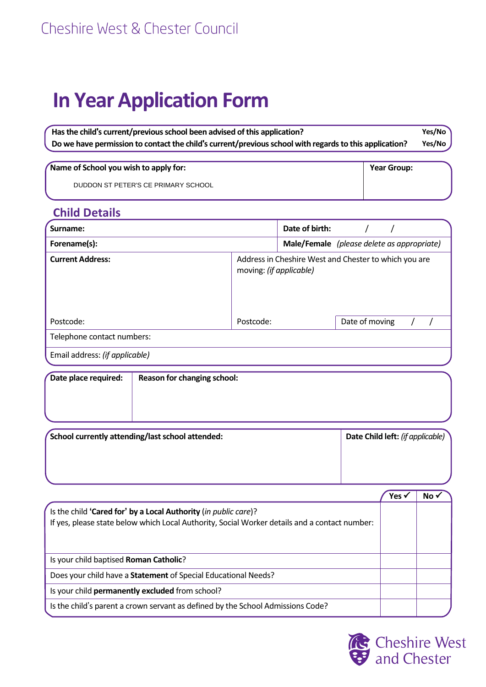## **In Year Application Form**

| Has the child's current/previous school been advised of this application?                              | Yes/No |
|--------------------------------------------------------------------------------------------------------|--------|
| Do we have permission to contact the child's current/previous school with regards to this application? | Yes/No |

| Name of School you wish to apply for: | <b>Year Group:</b> |
|---------------------------------------|--------------------|
| DUDDON ST PETER'S CE PRIMARY SCHOOL   |                    |
|                                       |                    |

## **Child Details**

| Surname:                       |                                                                                  | Date of birth:                             |  |                |  |  |  |
|--------------------------------|----------------------------------------------------------------------------------|--------------------------------------------|--|----------------|--|--|--|
| Forename(s):                   |                                                                                  | Male/Female (please delete as appropriate) |  |                |  |  |  |
| <b>Current Address:</b>        | Address in Cheshire West and Chester to which you are<br>moving: (if applicable) |                                            |  |                |  |  |  |
| Postcode:                      | Postcode:                                                                        |                                            |  | Date of moving |  |  |  |
| Telephone contact numbers:     |                                                                                  |                                            |  |                |  |  |  |
| Email address: (if applicable) |                                                                                  |                                            |  |                |  |  |  |

| Date place required: | Reason for changing school:                      |                                  |
|----------------------|--------------------------------------------------|----------------------------------|
|                      |                                                  |                                  |
|                      |                                                  |                                  |
|                      | School currently attending/last school attended: | Date Child left: (if applicable) |

|                                                                                                                                                                  | Yes v | No, |
|------------------------------------------------------------------------------------------------------------------------------------------------------------------|-------|-----|
| Is the child 'Cared for' by a Local Authority (in public care)?<br>If yes, please state below which Local Authority, Social Worker details and a contact number: |       |     |
| Is your child baptised Roman Catholic?                                                                                                                           |       |     |
| Does your child have a Statement of Special Educational Needs?                                                                                                   |       |     |
| Is your child permanently excluded from school?                                                                                                                  |       |     |
| Is the child's parent a crown servant as defined by the School Admissions Code?                                                                                  |       |     |